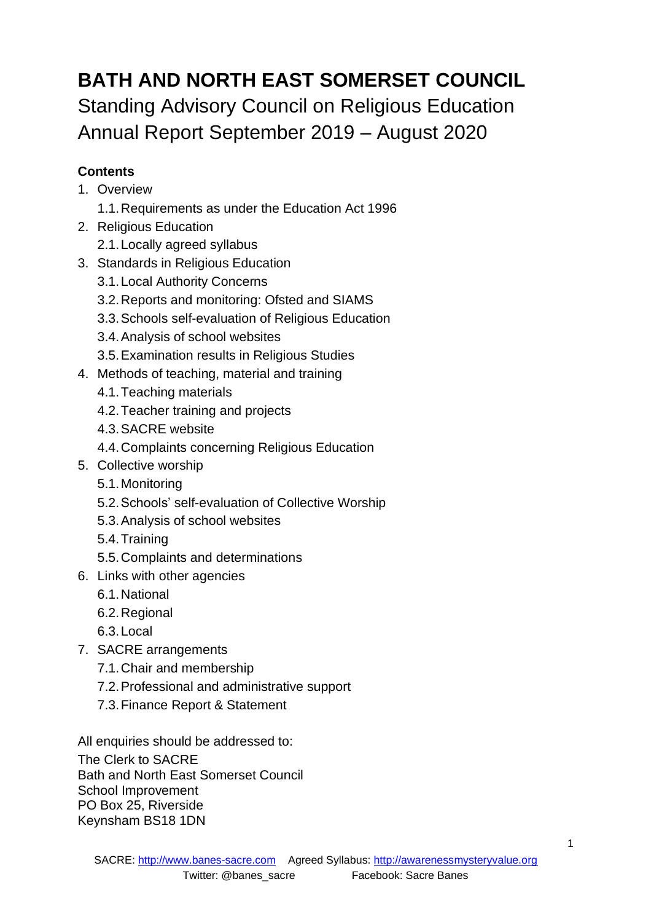# **BATH AND NORTH EAST SOMERSET COUNCIL** Standing Advisory Council on Religious Education Annual Report September 2019 – August 2020

# **Contents**

- 1. Overview
	- 1.1.Requirements as under the Education Act 1996
- 2. Religious Education
	- 2.1.Locally agreed syllabus
- 3. Standards in Religious Education
	- 3.1.Local Authority Concerns
	- 3.2.Reports and monitoring: Ofsted and SIAMS
	- 3.3.Schools self-evaluation of Religious Education
	- 3.4.Analysis of school websites
	- 3.5.Examination results in Religious Studies
- 4. Methods of teaching, material and training
	- 4.1.Teaching materials
	- 4.2.Teacher training and projects
	- 4.3.SACRE website
	- 4.4.Complaints concerning Religious Education
- 5. Collective worship
	- 5.1.Monitoring
	- 5.2.Schools' self-evaluation of Collective Worship
	- 5.3.Analysis of school websites
	- 5.4.Training
	- 5.5.Complaints and determinations
- 6. Links with other agencies
	- 6.1.National
	- 6.2.Regional
	- 6.3.Local
- 7. SACRE arrangements
	- 7.1.Chair and membership
	- 7.2.Professional and administrative support
	- 7.3.Finance Report & Statement

All enquiries should be addressed to:

The Clerk to SACRE Bath and North East Somerset Council School Improvement PO Box 25, Riverside Keynsham BS18 1DN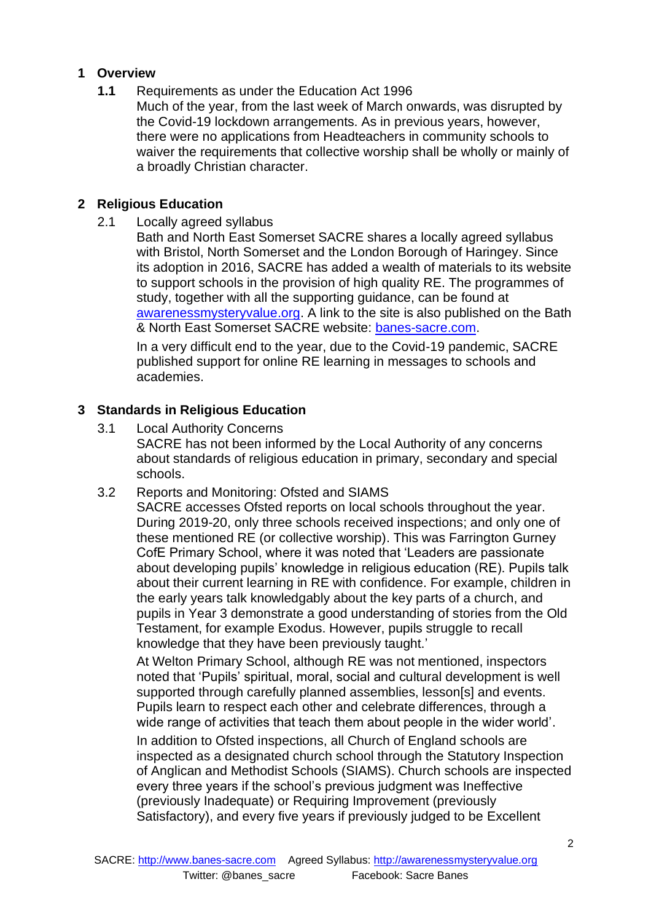## **1 Overview**

- **1.1** Requirements as under the Education Act 1996
	- Much of the year, from the last week of March onwards, was disrupted by the Covid-19 lockdown arrangements. As in previous years, however, there were no applications from Headteachers in community schools to waiver the requirements that collective worship shall be wholly or mainly of a broadly Christian character.

#### **2 Religious Education**

2.1 Locally agreed syllabus

Bath and North East Somerset SACRE shares a locally agreed syllabus with Bristol, North Somerset and the London Borough of Haringey. Since its adoption in 2016, SACRE has added a wealth of materials to its website to support schools in the provision of high quality RE. The programmes of study, together with all the supporting guidance, can be found at [awarenessmysteryvalue.org.](http://awarenessmysteryvalue.org/) A link to the site is also published on the Bath & North East Somerset SACRE website: [banes-sacre.com.](http://banes-sacre.com/)

In a very difficult end to the year, due to the Covid-19 pandemic, SACRE published support for online RE learning in messages to schools and academies.

## **3 Standards in Religious Education**

- 3.1 Local Authority Concerns SACRE has not been informed by the Local Authority of any concerns about standards of religious education in primary, secondary and special schools.
- 3.2 Reports and Monitoring: Ofsted and SIAMS

SACRE accesses Ofsted reports on local schools throughout the year. During 2019-20, only three schools received inspections; and only one of these mentioned RE (or collective worship). This was Farrington Gurney CofE Primary School, where it was noted that 'Leaders are passionate about developing pupils' knowledge in religious education (RE). Pupils talk about their current learning in RE with confidence. For example, children in the early years talk knowledgably about the key parts of a church, and pupils in Year 3 demonstrate a good understanding of stories from the Old Testament, for example Exodus. However, pupils struggle to recall knowledge that they have been previously taught.'

At Welton Primary School, although RE was not mentioned, inspectors noted that 'Pupils' spiritual, moral, social and cultural development is well supported through carefully planned assemblies, lesson[s] and events. Pupils learn to respect each other and celebrate differences, through a wide range of activities that teach them about people in the wider world'.

In addition to Ofsted inspections, all Church of England schools are inspected as a designated church school through the Statutory Inspection of Anglican and Methodist Schools (SIAMS). Church schools are inspected every three years if the school's previous judgment was Ineffective (previously Inadequate) or Requiring Improvement (previously Satisfactory), and every five years if previously judged to be Excellent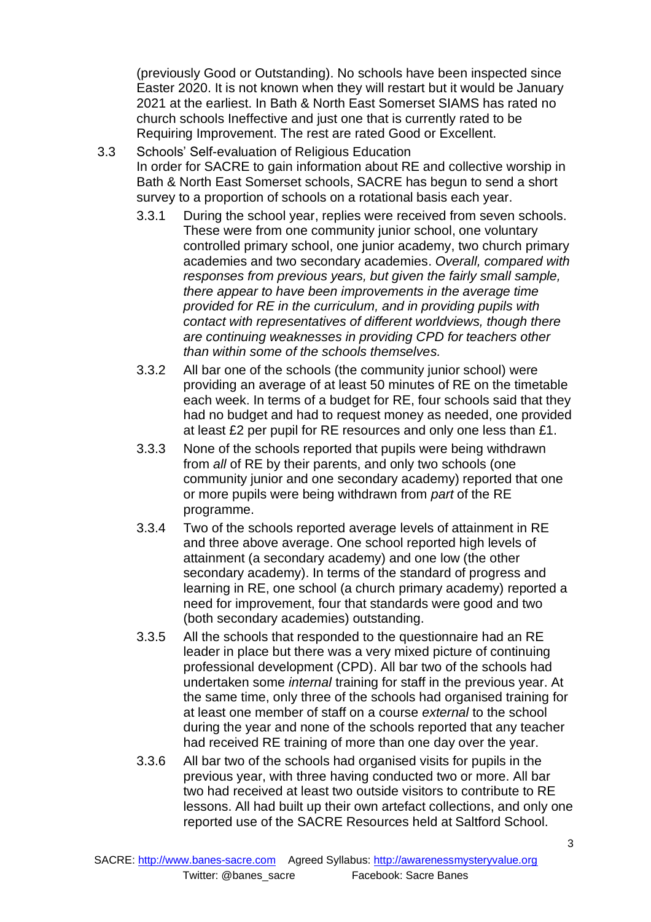(previously Good or Outstanding). No schools have been inspected since Easter 2020. It is not known when they will restart but it would be January 2021 at the earliest. In Bath & North East Somerset SIAMS has rated no church schools Ineffective and just one that is currently rated to be Requiring Improvement. The rest are rated Good or Excellent.

- 3.3 Schools' Self-evaluation of Religious Education In order for SACRE to gain information about RE and collective worship in Bath & North East Somerset schools, SACRE has begun to send a short survey to a proportion of schools on a rotational basis each year.
	- 3.3.1 During the school year, replies were received from seven schools. These were from one community junior school, one voluntary controlled primary school, one junior academy, two church primary academies and two secondary academies. *Overall, compared with responses from previous years, but given the fairly small sample, there appear to have been improvements in the average time provided for RE in the curriculum, and in providing pupils with contact with representatives of different worldviews, though there are continuing weaknesses in providing CPD for teachers other than within some of the schools themselves.*
	- 3.3.2 All bar one of the schools (the community junior school) were providing an average of at least 50 minutes of RE on the timetable each week. In terms of a budget for RE, four schools said that they had no budget and had to request money as needed, one provided at least £2 per pupil for RE resources and only one less than £1.
	- 3.3.3 None of the schools reported that pupils were being withdrawn from *all* of RE by their parents, and only two schools (one community junior and one secondary academy) reported that one or more pupils were being withdrawn from *part* of the RE programme.
	- 3.3.4 Two of the schools reported average levels of attainment in RE and three above average. One school reported high levels of attainment (a secondary academy) and one low (the other secondary academy). In terms of the standard of progress and learning in RE, one school (a church primary academy) reported a need for improvement, four that standards were good and two (both secondary academies) outstanding.
	- 3.3.5 All the schools that responded to the questionnaire had an RE leader in place but there was a very mixed picture of continuing professional development (CPD). All bar two of the schools had undertaken some *internal* training for staff in the previous year. At the same time, only three of the schools had organised training for at least one member of staff on a course *external* to the school during the year and none of the schools reported that any teacher had received RE training of more than one day over the year.
	- 3.3.6 All bar two of the schools had organised visits for pupils in the previous year, with three having conducted two or more. All bar two had received at least two outside visitors to contribute to RE lessons. All had built up their own artefact collections, and only one reported use of the SACRE Resources held at Saltford School.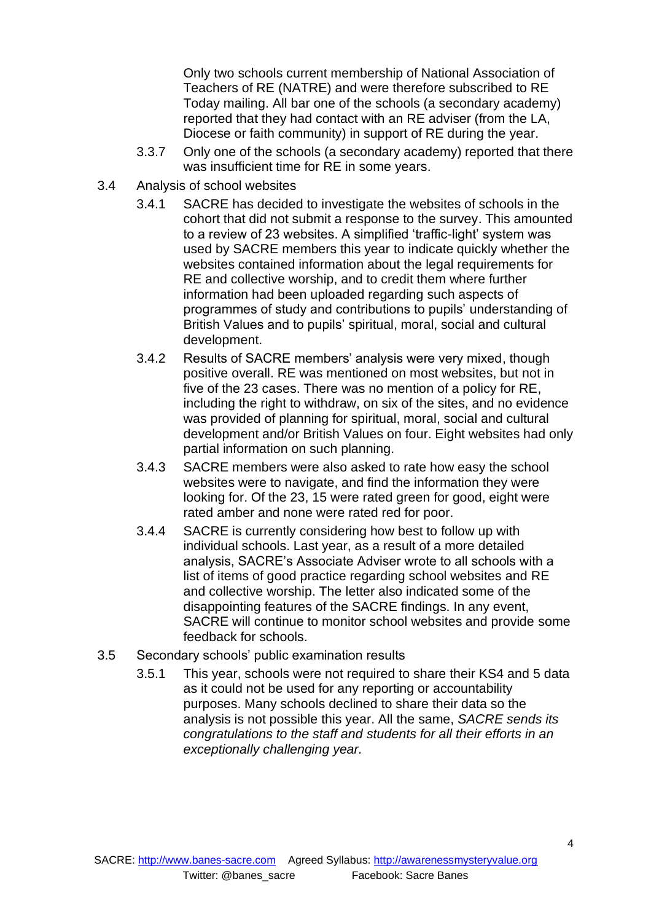Only two schools current membership of National Association of Teachers of RE (NATRE) and were therefore subscribed to RE Today mailing. All bar one of the schools (a secondary academy) reported that they had contact with an RE adviser (from the LA, Diocese or faith community) in support of RE during the year.

- 3.3.7 Only one of the schools (a secondary academy) reported that there was insufficient time for RE in some years.
- 3.4 Analysis of school websites
	- 3.4.1 SACRE has decided to investigate the websites of schools in the cohort that did not submit a response to the survey. This amounted to a review of 23 websites. A simplified 'traffic-light' system was used by SACRE members this year to indicate quickly whether the websites contained information about the legal requirements for RE and collective worship, and to credit them where further information had been uploaded regarding such aspects of programmes of study and contributions to pupils' understanding of British Values and to pupils' spiritual, moral, social and cultural development.
	- 3.4.2 Results of SACRE members' analysis were very mixed, though positive overall. RE was mentioned on most websites, but not in five of the 23 cases. There was no mention of a policy for RE, including the right to withdraw, on six of the sites, and no evidence was provided of planning for spiritual, moral, social and cultural development and/or British Values on four. Eight websites had only partial information on such planning.
	- 3.4.3 SACRE members were also asked to rate how easy the school websites were to navigate, and find the information they were looking for. Of the 23, 15 were rated green for good, eight were rated amber and none were rated red for poor.
	- 3.4.4 SACRE is currently considering how best to follow up with individual schools. Last year, as a result of a more detailed analysis, SACRE's Associate Adviser wrote to all schools with a list of items of good practice regarding school websites and RE and collective worship. The letter also indicated some of the disappointing features of the SACRE findings. In any event, SACRE will continue to monitor school websites and provide some feedback for schools.
- 3.5 Secondary schools' public examination results
	- 3.5.1 This year, schools were not required to share their KS4 and 5 data as it could not be used for any reporting or accountability purposes. Many schools declined to share their data so the analysis is not possible this year. All the same, *SACRE sends its congratulations to the staff and students for all their efforts in an exceptionally challenging year.*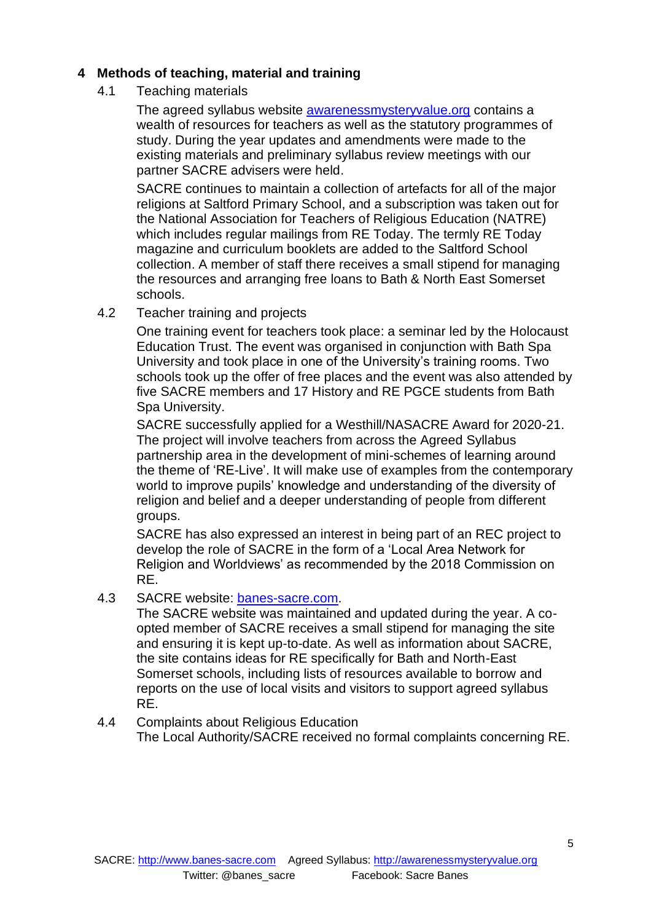# **4 Methods of teaching, material and training**

4.1 Teaching materials

The agreed syllabus website [awarenessmysteryvalue.org](http://awarenessmysteryvalue.org/) contains a wealth of resources for teachers as well as the statutory programmes of study. During the year updates and amendments were made to the existing materials and preliminary syllabus review meetings with our partner SACRE advisers were held.

SACRE continues to maintain a collection of artefacts for all of the major religions at Saltford Primary School, and a subscription was taken out for the National Association for Teachers of Religious Education (NATRE) which includes regular mailings from RE Today. The termly RE Today magazine and curriculum booklets are added to the Saltford School collection. A member of staff there receives a small stipend for managing the resources and arranging free loans to Bath & North East Somerset schools.

4.2 Teacher training and projects

One training event for teachers took place: a seminar led by the Holocaust Education Trust. The event was organised in conjunction with Bath Spa University and took place in one of the University's training rooms. Two schools took up the offer of free places and the event was also attended by five SACRE members and 17 History and RE PGCE students from Bath Spa University.

SACRE successfully applied for a Westhill/NASACRE Award for 2020-21. The project will involve teachers from across the Agreed Syllabus partnership area in the development of mini-schemes of learning around the theme of 'RE-Live'. It will make use of examples from the contemporary world to improve pupils' knowledge and understanding of the diversity of religion and belief and a deeper understanding of people from different groups.

SACRE has also expressed an interest in being part of an REC project to develop the role of SACRE in the form of a 'Local Area Network for Religion and Worldviews' as recommended by the 2018 Commission on RE.

4.3 SACRE website: [banes-sacre.com.](http://banes-sacre.com/)

The SACRE website was maintained and updated during the year. A coopted member of SACRE receives a small stipend for managing the site and ensuring it is kept up-to-date. As well as information about SACRE, the site contains ideas for RE specifically for Bath and North-East Somerset schools, including lists of resources available to borrow and reports on the use of local visits and visitors to support agreed syllabus RE.

4.4 Complaints about Religious Education The Local Authority/SACRE received no formal complaints concerning RE.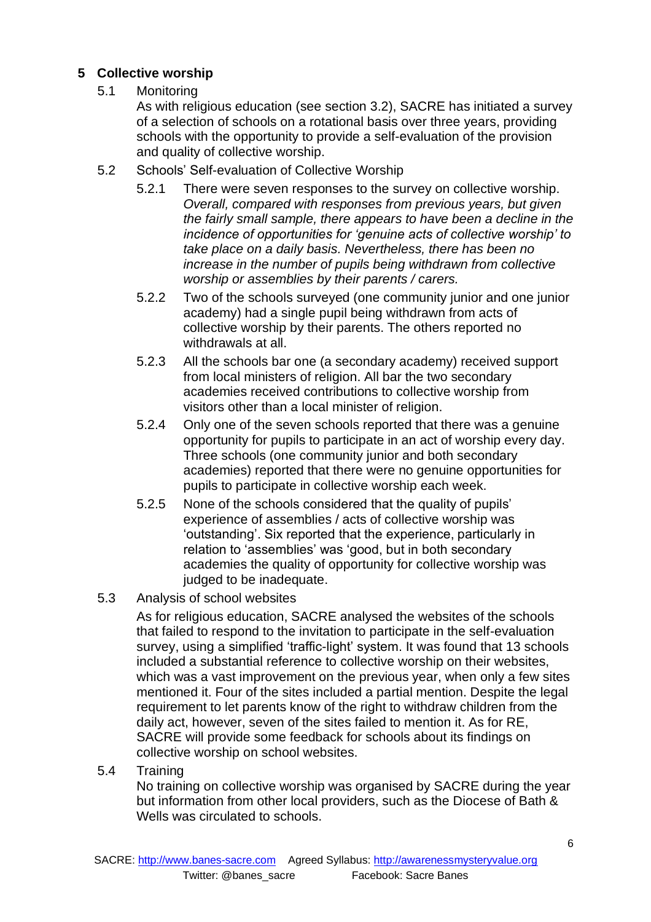# **5 Collective worship**

5.1 Monitoring

As with religious education (see section 3.2), SACRE has initiated a survey of a selection of schools on a rotational basis over three years, providing schools with the opportunity to provide a self-evaluation of the provision and quality of collective worship.

- 5.2 Schools' Self-evaluation of Collective Worship
	- 5.2.1 There were seven responses to the survey on collective worship. *Overall, compared with responses from previous years, but given the fairly small sample, there appears to have been a decline in the incidence of opportunities for 'genuine acts of collective worship' to take place on a daily basis. Nevertheless, there has been no increase in the number of pupils being withdrawn from collective worship or assemblies by their parents / carers.*
	- 5.2.2 Two of the schools surveyed (one community junior and one junior academy) had a single pupil being withdrawn from acts of collective worship by their parents. The others reported no withdrawals at all.
	- 5.2.3 All the schools bar one (a secondary academy) received support from local ministers of religion. All bar the two secondary academies received contributions to collective worship from visitors other than a local minister of religion.
	- 5.2.4 Only one of the seven schools reported that there was a genuine opportunity for pupils to participate in an act of worship every day. Three schools (one community junior and both secondary academies) reported that there were no genuine opportunities for pupils to participate in collective worship each week.
	- 5.2.5 None of the schools considered that the quality of pupils' experience of assemblies / acts of collective worship was 'outstanding'. Six reported that the experience, particularly in relation to 'assemblies' was 'good, but in both secondary academies the quality of opportunity for collective worship was judged to be inadequate.
- 5.3 Analysis of school websites

As for religious education, SACRE analysed the websites of the schools that failed to respond to the invitation to participate in the self-evaluation survey, using a simplified 'traffic-light' system. It was found that 13 schools included a substantial reference to collective worship on their websites, which was a vast improvement on the previous year, when only a few sites mentioned it. Four of the sites included a partial mention. Despite the legal requirement to let parents know of the right to withdraw children from the daily act, however, seven of the sites failed to mention it. As for RE, SACRE will provide some feedback for schools about its findings on collective worship on school websites.

5.4 Training

No training on collective worship was organised by SACRE during the year but information from other local providers, such as the Diocese of Bath & Wells was circulated to schools.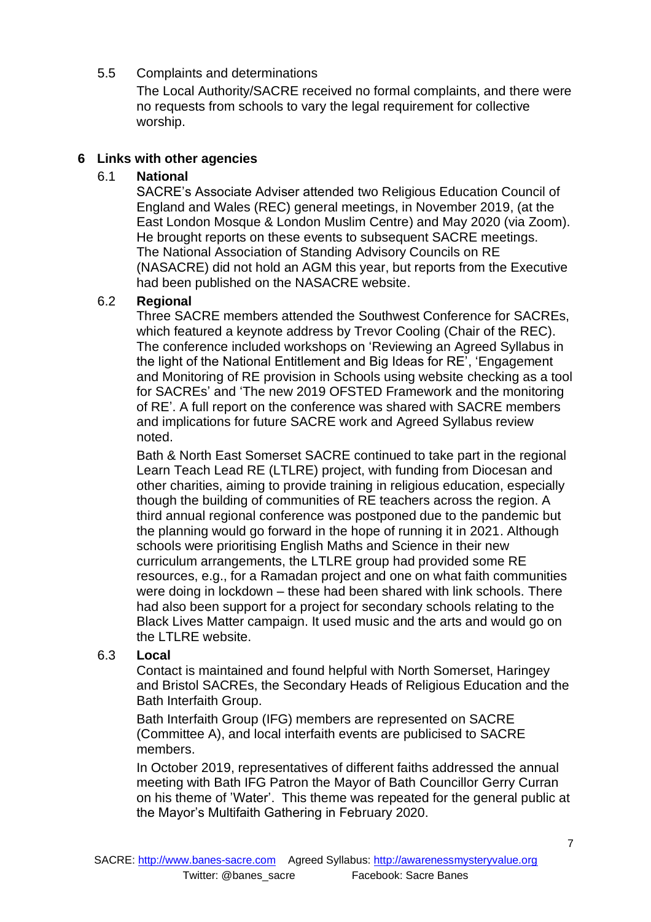# 5.5 Complaints and determinations

The Local Authority/SACRE received no formal complaints, and there were no requests from schools to vary the legal requirement for collective worship.

# **6 Links with other agencies**

# 6.1 **National**

SACRE's Associate Adviser attended two Religious Education Council of England and Wales (REC) general meetings, in November 2019, (at the East London Mosque & London Muslim Centre) and May 2020 (via Zoom). He brought reports on these events to subsequent SACRE meetings. The National Association of Standing Advisory Councils on RE (NASACRE) did not hold an AGM this year, but reports from the Executive had been published on the NASACRE website.

## 6.2 **Regional**

Three SACRE members attended the Southwest Conference for SACREs, which featured a keynote address by Trevor Cooling (Chair of the REC). The conference included workshops on 'Reviewing an Agreed Syllabus in the light of the National Entitlement and Big Ideas for RE', 'Engagement and Monitoring of RE provision in Schools using website checking as a tool for SACREs' and 'The new 2019 OFSTED Framework and the monitoring of RE'. A full report on the conference was shared with SACRE members and implications for future SACRE work and Agreed Syllabus review noted.

Bath & North East Somerset SACRE continued to take part in the regional Learn Teach Lead RE (LTLRE) project, with funding from Diocesan and other charities, aiming to provide training in religious education, especially though the building of communities of RE teachers across the region. A third annual regional conference was postponed due to the pandemic but the planning would go forward in the hope of running it in 2021. Although schools were prioritising English Maths and Science in their new curriculum arrangements, the LTLRE group had provided some RE resources, e.g., for a Ramadan project and one on what faith communities were doing in lockdown – these had been shared with link schools. There had also been support for a project for secondary schools relating to the Black Lives Matter campaign. It used music and the arts and would go on the LTLRE website.

## 6.3 **Local**

Contact is maintained and found helpful with North Somerset, Haringey and Bristol SACREs, the Secondary Heads of Religious Education and the Bath Interfaith Group.

Bath Interfaith Group (IFG) members are represented on SACRE (Committee A), and local interfaith events are publicised to SACRE members.

In October 2019, representatives of different faiths addressed the annual meeting with Bath IFG Patron the Mayor of Bath Councillor Gerry Curran on his theme of 'Water'. This theme was repeated for the general public at the Mayor's Multifaith Gathering in February 2020.

7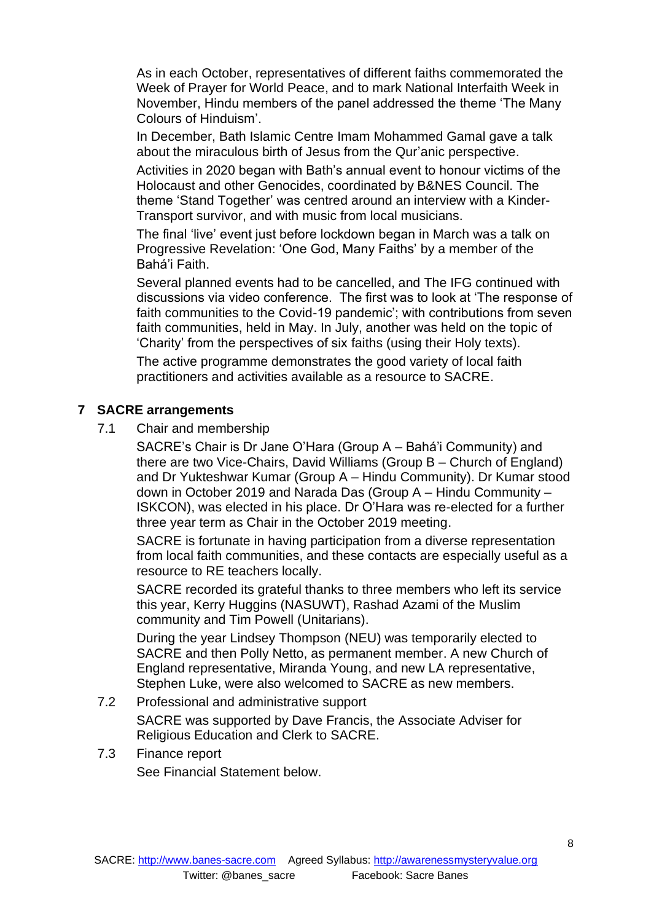As in each October, representatives of different faiths commemorated the Week of Prayer for World Peace, and to mark National Interfaith Week in November, Hindu members of the panel addressed the theme 'The Many Colours of Hinduism'.

In December, Bath Islamic Centre Imam Mohammed Gamal gave a talk about the miraculous birth of Jesus from the Qur'anic perspective.

Activities in 2020 began with Bath's annual event to honour victims of the Holocaust and other Genocides, coordinated by B&NES Council. The theme 'Stand Together' was centred around an interview with a Kinder-Transport survivor, and with music from local musicians.

The final 'live' event just before lockdown began in March was a talk on Progressive Revelation: 'One God, Many Faiths' by a member of the Bahá'i Faith.

Several planned events had to be cancelled, and The IFG continued with discussions via video conference. The first was to look at 'The response of faith communities to the Covid-19 pandemic'; with contributions from seven faith communities, held in May. In July, another was held on the topic of 'Charity' from the perspectives of six faiths (using their Holy texts).

The active programme demonstrates the good variety of local faith practitioners and activities available as a resource to SACRE.

## **7 SACRE arrangements**

7.1 Chair and membership

SACRE's Chair is Dr Jane O'Hara (Group A – Bahá'i Community) and there are two Vice-Chairs, David Williams (Group B – Church of England) and Dr Yukteshwar Kumar (Group A – Hindu Community). Dr Kumar stood down in October 2019 and Narada Das (Group A – Hindu Community – ISKCON), was elected in his place. Dr O'Hara was re-elected for a further three year term as Chair in the October 2019 meeting.

SACRE is fortunate in having participation from a diverse representation from local faith communities, and these contacts are especially useful as a resource to RE teachers locally.

SACRE recorded its grateful thanks to three members who left its service this year, Kerry Huggins (NASUWT), Rashad Azami of the Muslim community and Tim Powell (Unitarians).

During the year Lindsey Thompson (NEU) was temporarily elected to SACRE and then Polly Netto, as permanent member. A new Church of England representative, Miranda Young, and new LA representative, Stephen Luke, were also welcomed to SACRE as new members.

- 7.2 Professional and administrative support SACRE was supported by Dave Francis, the Associate Adviser for Religious Education and Clerk to SACRE.
- 7.3 Finance report See Financial Statement below.